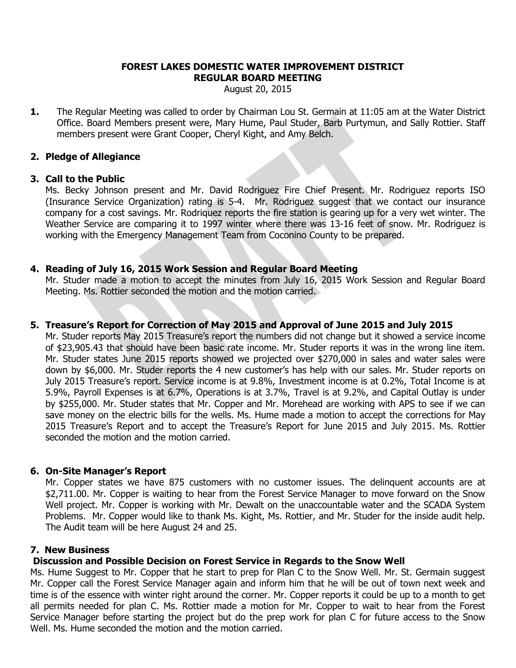#### **FOREST LAKES DOMESTIC WATER IMPROVEMENT DISTRICT REGULAR BOARD MEETING**

August 20, 2015

**1.** The Regular Meeting was called to order by Chairman Lou St. Germain at 11:05 am at the Water District Office. Board Members present were, Mary Hume, Paul Studer, Barb Purtymun, and Sally Rottier. Staff members present were Grant Cooper, Cheryl Kight, and Amy Belch.

### **2. Pledge of Allegiance**

### **3. Call to the Public**

Ms. Becky Johnson present and Mr. David Rodriguez Fire Chief Present. Mr. Rodriguez reports ISO (Insurance Service Organization) rating is 5-4. Mr. Rodriguez suggest that we contact our insurance company for a cost savings. Mr. Rodriquez reports the fire station is gearing up for a very wet winter. The Weather Service are comparing it to 1997 winter where there was 13-16 feet of snow. Mr. Rodriguez is working with the Emergency Management Team from Coconino County to be prepared.

# **4. Reading of July 16, 2015 Work Session and Regular Board Meeting**

Mr. Studer made a motion to accept the minutes from July 16, 2015 Work Session and Regular Board Meeting. Ms. Rottier seconded the motion and the motion carried.

# **5. Treasure's Report for Correction of May 2015 and Approval of June 2015 and July 2015**

Mr. Studer reports May 2015 Treasure's report the numbers did not change but it showed a service income of \$23,905.43 that should have been basic rate income. Mr. Studer reports it was in the wrong line item. Mr. Studer states June 2015 reports showed we projected over \$270,000 in sales and water sales were down by \$6,000. Mr. Studer reports the 4 new customer's has help with our sales. Mr. Studer reports on July 2015 Treasure's report. Service income is at 9.8%, Investment income is at 0.2%, Total Income is at 5.9%, Payroll Expenses is at 6.7%, Operations is at 3.7%, Travel is at 9.2%, and Capital Outlay is under by \$255,000. Mr. Studer states that Mr. Copper and Mr. Morehead are working with APS to see if we can save money on the electric bills for the wells. Ms. Hume made a motion to accept the corrections for May 2015 Treasure's Report and to accept the Treasure's Report for June 2015 and July 2015. Ms. Rottier seconded the motion and the motion carried.

# **6. On-Site Manager's Report**

Mr. Copper states we have 875 customers with no customer issues. The delinquent accounts are at \$2,711.00. Mr. Copper is waiting to hear from the Forest Service Manager to move forward on the Snow Well project. Mr. Copper is working with Mr. Dewalt on the unaccountable water and the SCADA System Problems. Mr. Copper would like to thank Ms. Kight, Ms. Rottier, and Mr. Studer for the inside audit help. The Audit team will be here August 24 and 25.

### **7. New Business**

# **Discussion and Possible Decision on Forest Service in Regards to the Snow Well**

Ms. Hume Suggest to Mr. Copper that he start to prep for Plan C to the Snow Well. Mr. St. Germain suggest Mr. Copper call the Forest Service Manager again and inform him that he will be out of town next week and time is of the essence with winter right around the corner. Mr. Copper reports it could be up to a month to get all permits needed for plan C. Ms. Rottier made a motion for Mr. Copper to wait to hear from the Forest Service Manager before starting the project but do the prep work for plan C for future access to the Snow Well. Ms. Hume seconded the motion and the motion carried.